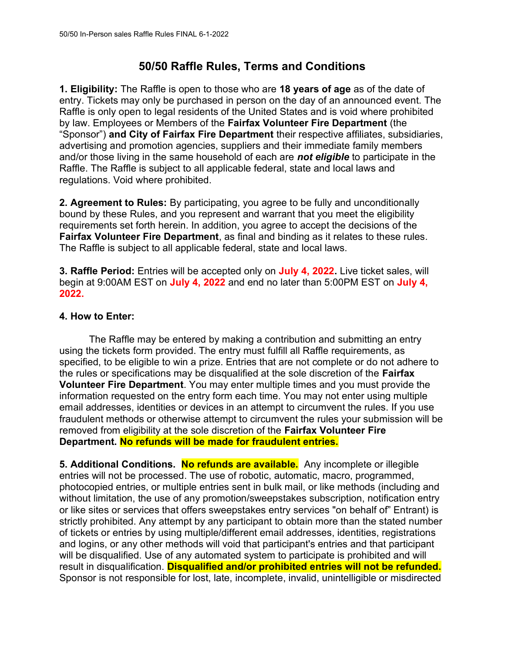## 50/50 Raffle Rules, Terms and Conditions

**1. Eligibility:** The Raffle is open to those who are **18 years of age** as of the date of entry. Tickets may only be purchased in person on the day of an announced event. The Raffle is only open to legal residents of the United States and is void where prohibited by law. Employees or Members of the Fairfax Volunteer Fire Department (the "Sponsor") and City of Fairfax Fire Department their respective affiliates, subsidiaries, advertising and promotion agencies, suppliers and their immediate family members and/or those living in the same household of each are **not eligible** to participate in the Raffle. The Raffle is subject to all applicable federal, state and local laws and regulations. Void where prohibited.

2. Agreement to Rules: By participating, you agree to be fully and unconditionally bound by these Rules, and you represent and warrant that you meet the eligibility requirements set forth herein. In addition, you agree to accept the decisions of the Fairfax Volunteer Fire Department, as final and binding as it relates to these rules. The Raffle is subject to all applicable federal, state and local laws.

**3. Raffle Period:** Entries will be accepted only on **July 4, 2022.** Live ticket sales, will begin at 9:00AM EST on July 4, 2022 and end no later than 5:00PM EST on July 4, 2022.

## 4. How to Enter:

The Raffle may be entered by making a contribution and submitting an entry using the tickets form provided. The entry must fulfill all Raffle requirements, as specified, to be eligible to win a prize. Entries that are not complete or do not adhere to the rules or specifications may be disqualified at the sole discretion of the Fairfax Volunteer Fire Department. You may enter multiple times and you must provide the information requested on the entry form each time. You may not enter using multiple email addresses, identities or devices in an attempt to circumvent the rules. If you use fraudulent methods or otherwise attempt to circumvent the rules your submission will be removed from eligibility at the sole discretion of the Fairfax Volunteer Fire Department. No refunds will be made for fraudulent entries.

**5. Additional Conditions. No refunds are available.** Any incomplete or illegible entries will not be processed. The use of robotic, automatic, macro, programmed, photocopied entries, or multiple entries sent in bulk mail, or like methods (including and without limitation, the use of any promotion/sweepstakes subscription, notification entry or like sites or services that offers sweepstakes entry services "on behalf of" Entrant) is strictly prohibited. Any attempt by any participant to obtain more than the stated number of tickets or entries by using multiple/different email addresses, identities, registrations and logins, or any other methods will void that participant's entries and that participant will be disqualified. Use of any automated system to participate is prohibited and will result in disqualification. Disqualified and/or prohibited entries will not be refunded. Sponsor is not responsible for lost, late, incomplete, invalid, unintelligible or misdirected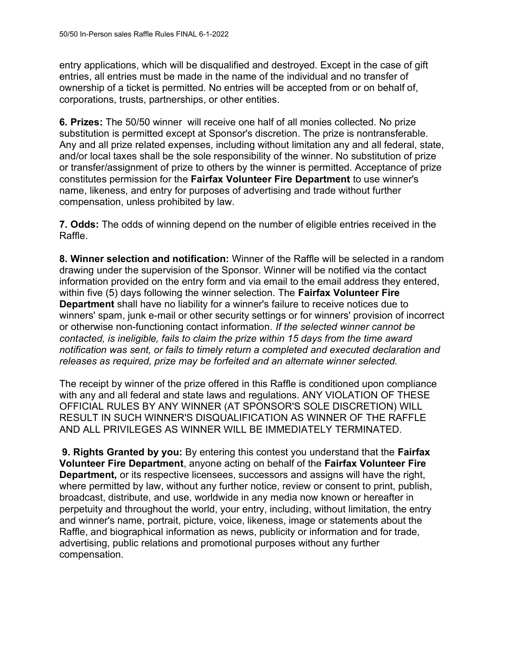entry applications, which will be disqualified and destroyed. Except in the case of gift entries, all entries must be made in the name of the individual and no transfer of ownership of a ticket is permitted. No entries will be accepted from or on behalf of, corporations, trusts, partnerships, or other entities.

6. Prizes: The 50/50 winner will receive one half of all monies collected. No prize substitution is permitted except at Sponsor's discretion. The prize is nontransferable. Any and all prize related expenses, including without limitation any and all federal, state, and/or local taxes shall be the sole responsibility of the winner. No substitution of prize or transfer/assignment of prize to others by the winner is permitted. Acceptance of prize constitutes permission for the Fairfax Volunteer Fire Department to use winner's name, likeness, and entry for purposes of advertising and trade without further compensation, unless prohibited by law.

7. Odds: The odds of winning depend on the number of eligible entries received in the Raffle.

8. Winner selection and notification: Winner of the Raffle will be selected in a random drawing under the supervision of the Sponsor. Winner will be notified via the contact information provided on the entry form and via email to the email address they entered, within five (5) days following the winner selection. The Fairfax Volunteer Fire Department shall have no liability for a winner's failure to receive notices due to winners' spam, junk e-mail or other security settings or for winners' provision of incorrect or otherwise non-functioning contact information. If the selected winner cannot be contacted, is ineligible, fails to claim the prize within 15 days from the time award notification was sent, or fails to timely return a completed and executed declaration and releases as required, prize may be forfeited and an alternate winner selected.

The receipt by winner of the prize offered in this Raffle is conditioned upon compliance with any and all federal and state laws and regulations. ANY VIOLATION OF THESE OFFICIAL RULES BY ANY WINNER (AT SPONSOR'S SOLE DISCRETION) WILL RESULT IN SUCH WINNER'S DISQUALIFICATION AS WINNER OF THE RAFFLE AND ALL PRIVILEGES AS WINNER WILL BE IMMEDIATELY TERMINATED.

**9. Rights Granted by you:** By entering this contest you understand that the **Fairfax** Volunteer Fire Department, anyone acting on behalf of the Fairfax Volunteer Fire Department, or its respective licensees, successors and assigns will have the right, where permitted by law, without any further notice, review or consent to print, publish, broadcast, distribute, and use, worldwide in any media now known or hereafter in perpetuity and throughout the world, your entry, including, without limitation, the entry and winner's name, portrait, picture, voice, likeness, image or statements about the Raffle, and biographical information as news, publicity or information and for trade, advertising, public relations and promotional purposes without any further compensation.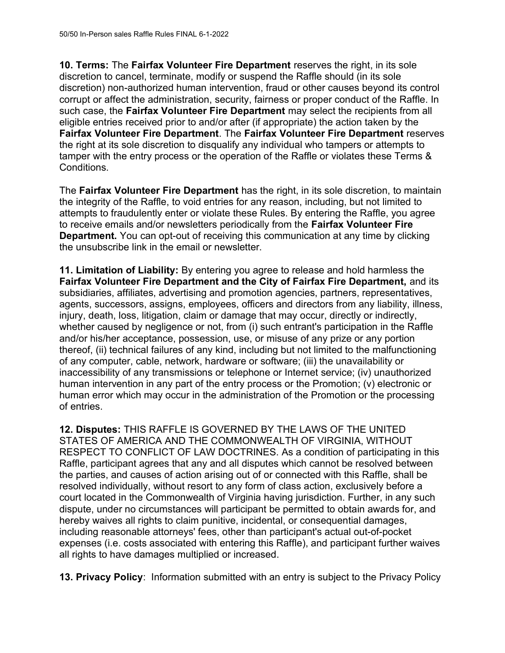10. Terms: The Fairfax Volunteer Fire Department reserves the right, in its sole discretion to cancel, terminate, modify or suspend the Raffle should (in its sole discretion) non-authorized human intervention, fraud or other causes beyond its control corrupt or affect the administration, security, fairness or proper conduct of the Raffle. In such case, the Fairfax Volunteer Fire Department may select the recipients from all eligible entries received prior to and/or after (if appropriate) the action taken by the Fairfax Volunteer Fire Department. The Fairfax Volunteer Fire Department reserves the right at its sole discretion to disqualify any individual who tampers or attempts to tamper with the entry process or the operation of the Raffle or violates these Terms & Conditions.

The Fairfax Volunteer Fire Department has the right, in its sole discretion, to maintain the integrity of the Raffle, to void entries for any reason, including, but not limited to attempts to fraudulently enter or violate these Rules. By entering the Raffle, you agree to receive emails and/or newsletters periodically from the Fairfax Volunteer Fire **Department.** You can opt-out of receiving this communication at any time by clicking the unsubscribe link in the email or newsletter.

11. Limitation of Liability: By entering you agree to release and hold harmless the Fairfax Volunteer Fire Department and the City of Fairfax Fire Department, and its subsidiaries, affiliates, advertising and promotion agencies, partners, representatives, agents, successors, assigns, employees, officers and directors from any liability, illness, injury, death, loss, litigation, claim or damage that may occur, directly or indirectly, whether caused by negligence or not, from (i) such entrant's participation in the Raffle and/or his/her acceptance, possession, use, or misuse of any prize or any portion thereof, (ii) technical failures of any kind, including but not limited to the malfunctioning of any computer, cable, network, hardware or software; (iii) the unavailability or inaccessibility of any transmissions or telephone or Internet service; (iv) unauthorized human intervention in any part of the entry process or the Promotion; (v) electronic or human error which may occur in the administration of the Promotion or the processing of entries.

12. Disputes: THIS RAFFLE IS GOVERNED BY THE LAWS OF THE UNITED STATES OF AMERICA AND THE COMMONWEALTH OF VIRGINIA, WITHOUT RESPECT TO CONFLICT OF LAW DOCTRINES. As a condition of participating in this Raffle, participant agrees that any and all disputes which cannot be resolved between the parties, and causes of action arising out of or connected with this Raffle, shall be resolved individually, without resort to any form of class action, exclusively before a court located in the Commonwealth of Virginia having jurisdiction. Further, in any such dispute, under no circumstances will participant be permitted to obtain awards for, and hereby waives all rights to claim punitive, incidental, or consequential damages, including reasonable attorneys' fees, other than participant's actual out-of-pocket expenses (i.e. costs associated with entering this Raffle), and participant further waives all rights to have damages multiplied or increased.

13. Privacy Policy: Information submitted with an entry is subject to the Privacy Policy